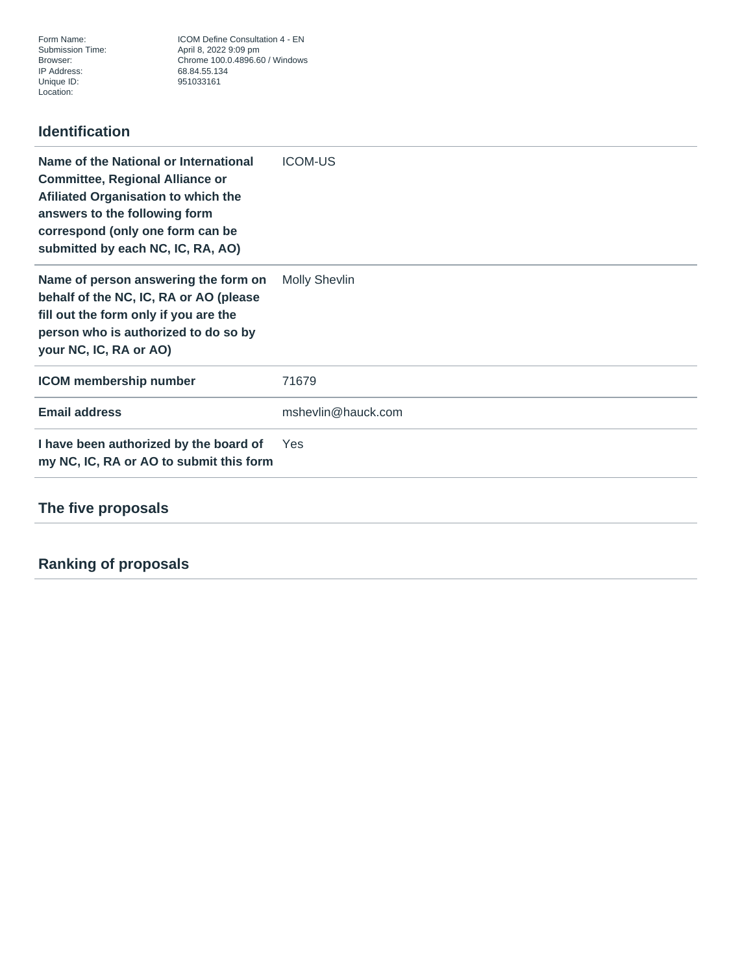Form Name: ICOM Define Consultation 4 - EN<br>Submission Time: April 8, 2022 9:09 pm Submission Time: April 8, 2022 9:09 pm Browser: Chrome 100.0.4896.60 / Windows 951033161

## **Identification**

| Name of the National or International<br><b>Committee, Regional Alliance or</b><br>Afiliated Organisation to which the<br>answers to the following form<br>correspond (only one form can be<br>submitted by each NC, IC, RA, AO) | <b>ICOM-US</b>       |
|----------------------------------------------------------------------------------------------------------------------------------------------------------------------------------------------------------------------------------|----------------------|
| Name of person answering the form on<br>behalf of the NC, IC, RA or AO (please<br>fill out the form only if you are the<br>person who is authorized to do so by<br>your NC, IC, RA or AO)                                        | <b>Molly Shevlin</b> |
| <b>ICOM</b> membership number                                                                                                                                                                                                    | 71679                |
| <b>Email address</b>                                                                                                                                                                                                             | mshevlin@hauck.com   |
| I have been authorized by the board of<br>my NC, IC, RA or AO to submit this form                                                                                                                                                | Yes                  |
| The five proposals                                                                                                                                                                                                               |                      |
|                                                                                                                                                                                                                                  |                      |

## **Ranking of proposals**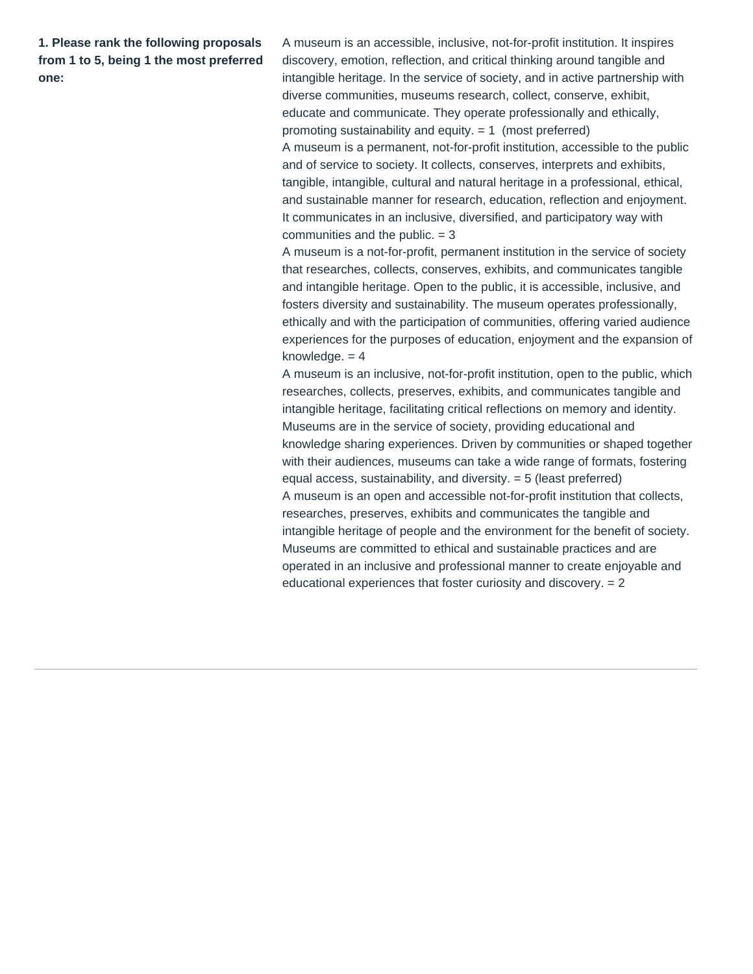**1. Please rank the following proposals from 1 to 5, being 1 the most preferred one:**

A museum is an accessible, inclusive, not-for-profit institution. It inspires discovery, emotion, reflection, and critical thinking around tangible and intangible heritage. In the service of society, and in active partnership with diverse communities, museums research, collect, conserve, exhibit, educate and communicate. They operate professionally and ethically, promoting sustainability and equity. = 1 (most preferred) A museum is a permanent, not-for-profit institution, accessible to the public and of service to society. It collects, conserves, interprets and exhibits, tangible, intangible, cultural and natural heritage in a professional, ethical, and sustainable manner for research, education, reflection and enjoyment. It communicates in an inclusive, diversified, and participatory way with communities and the public. = 3

A museum is a not-for-profit, permanent institution in the service of society that researches, collects, conserves, exhibits, and communicates tangible and intangible heritage. Open to the public, it is accessible, inclusive, and fosters diversity and sustainability. The museum operates professionally, ethically and with the participation of communities, offering varied audience experiences for the purposes of education, enjoyment and the expansion of knowledge.  $= 4$ 

A museum is an inclusive, not-for-profit institution, open to the public, which researches, collects, preserves, exhibits, and communicates tangible and intangible heritage, facilitating critical reflections on memory and identity. Museums are in the service of society, providing educational and knowledge sharing experiences. Driven by communities or shaped together with their audiences, museums can take a wide range of formats, fostering equal access, sustainability, and diversity. = 5 (least preferred) A museum is an open and accessible not-for-profit institution that collects, researches, preserves, exhibits and communicates the tangible and intangible heritage of people and the environment for the benefit of society. Museums are committed to ethical and sustainable practices and are operated in an inclusive and professional manner to create enjoyable and educational experiences that foster curiosity and discovery. = 2